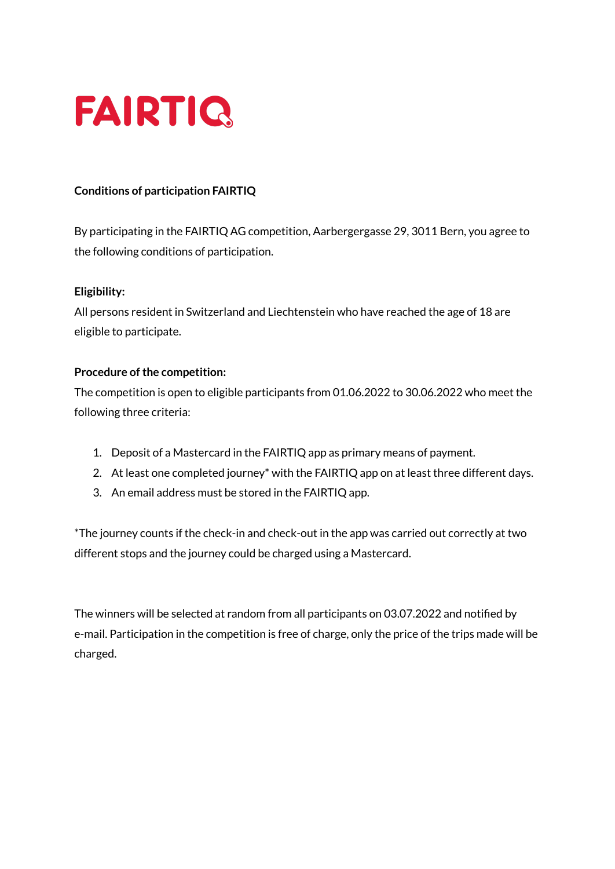

### **Conditions of participation FAIRTIQ**

By participating in the FAIRTIQ AG competition, Aarbergergasse 29, 3011 Bern, you agree to the following conditions of participation.

#### **Eligibility:**

All persons resident in Switzerland and Liechtenstein who have reached the age of 18 are eligible to participate.

#### **Procedure of the competition:**

The competition is open to eligible participants from 01.06.2022 to 30.06.2022 who meet the following three criteria:

- 1. Deposit of a Mastercard in the FAIRTIQ app as primary means of payment.
- 2. At least one completed journey\* with the FAIRTIQ app on at least three different days.
- 3. An email address must be stored in the FAIRTIQ app.

\*The journey counts if the check-in and check-out in the app was carried out correctly at two different stops and the journey could be charged using a Mastercard.

The winners will be selected at random from all participants on 03.07.2022 and notified by e-mail. Participation in the competition is free of charge, only the price of the trips made will be charged.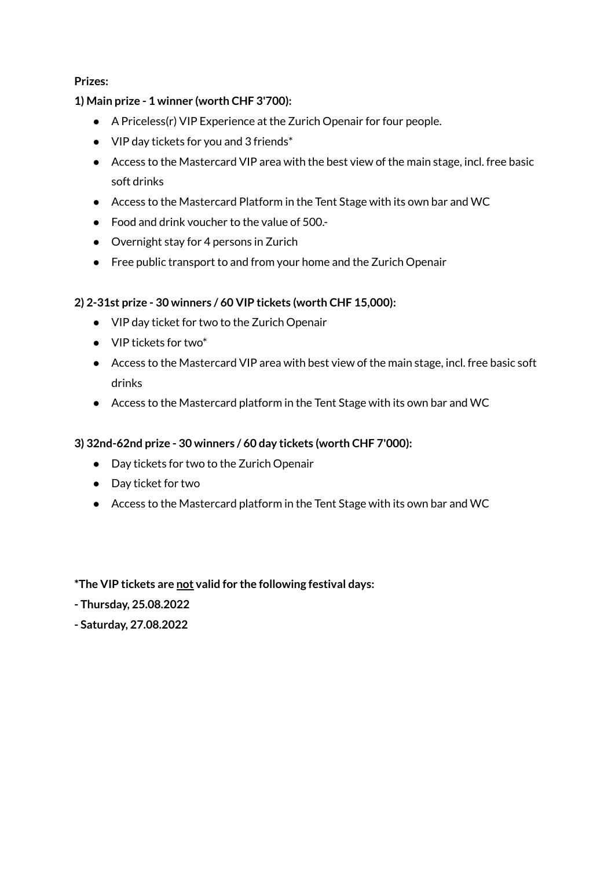**Prizes:**

### **1) Main prize - 1 winner (worth CHF 3'700):**

- A Priceless(r) VIP Experience at the Zurich Openair for four people.
- $\bullet$  VIP day tickets for you and 3 friends\*
- Access to the Mastercard VIP area with the best view of the main stage, incl. free basic soft drinks
- Access to the Mastercard Platform in the Tent Stage with its own bar and WC
- Food and drink voucher to the value of 500.
- Overnight stay for 4 persons in Zurich
- Free public transport to and from your home and the Zurich Openair

# **2) 2-31st prize - 30 winners / 60 VIP tickets (worth CHF 15,000):**

- VIP day ticket for two to the Zurich Openair
- VIP tickets for two\*
- Access to the Mastercard VIP area with best view of the main stage, incl. free basic soft drinks
- Access to the Mastercard platform in the Tent Stage with its own bar and WC

# **3) 32nd-62nd prize - 30 winners / 60 day tickets (worth CHF 7'000):**

- Day tickets for two to the Zurich Openair
- Day ticket for two
- Access to the Mastercard platform in the Tent Stage with its own bar and WC

# **\*The VIP tickets are not valid for the following festival days:**

**- Thursday, 25.08.2022**

**- Saturday, 27.08.2022**